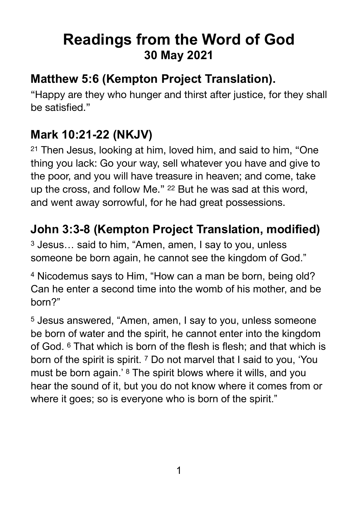# **Readings from the Word of God 30 May 2021**

#### **Matthew 5:6 (Kempton Project Translation).**

"Happy are they who hunger and thirst after justice, for they shall be satisfied."

### **Mark 10:21-22 (NKJV)**

<sup>21</sup> Then Jesus, looking at him, loved him, and said to him, "One thing you lack: Go your way, sell whatever you have and give to the poor, and you will have treasure in heaven; and come, take up the cross, and follow Me." <sup>22</sup> But he was sad at this word, and went away sorrowful, for he had great possessions.

#### **John 3:3-8 (Kempton Project Translation, modified)**

3 Jesus… said to him, "Amen, amen, I say to you, unless someone be born again, he cannot see the kingdom of God."

4 Nicodemus says to Him, "How can a man be born, being old? Can he enter a second time into the womb of his mother, and be born?"

5 Jesus answered, "Amen, amen, I say to you, unless someone be born of water and the spirit, he cannot enter into the kingdom of God. <sup>6</sup> That which is born of the flesh is flesh; and that which is born of the spirit is spirit. 7 Do not marvel that I said to you, 'You must be born again.' 8 The spirit blows where it wills, and you hear the sound of it, but you do not know where it comes from or where it goes; so is everyone who is born of the spirit."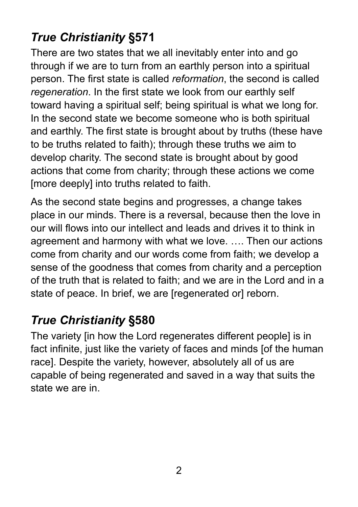## *True Christianity* **§571**

There are two states that we all inevitably enter into and go through if we are to turn from an earthly person into a spiritual person. The first state is called *reformation*, the second is called *regeneration*. In the first state we look from our earthly self toward having a spiritual self; being spiritual is what we long for. In the second state we become someone who is both spiritual and earthly. The first state is brought about by truths (these have to be truths related to faith); through these truths we aim to develop charity. The second state is brought about by good actions that come from charity; through these actions we come [more deeply] into truths related to faith.

As the second state begins and progresses, a change takes place in our minds. There is a reversal, because then the love in our will flows into our intellect and leads and drives it to think in agreement and harmony with what we love. …. Then our actions come from charity and our words come from faith; we develop a sense of the goodness that comes from charity and a perception of the truth that is related to faith; and we are in the Lord and in a state of peace. In brief, we are [regenerated or] reborn.

## *True Christianity* **§580**

The variety [in how the Lord regenerates different people] is in fact infinite, just like the variety of faces and minds [of the human race]. Despite the variety, however, absolutely all of us are capable of being regenerated and saved in a way that suits the state we are in.